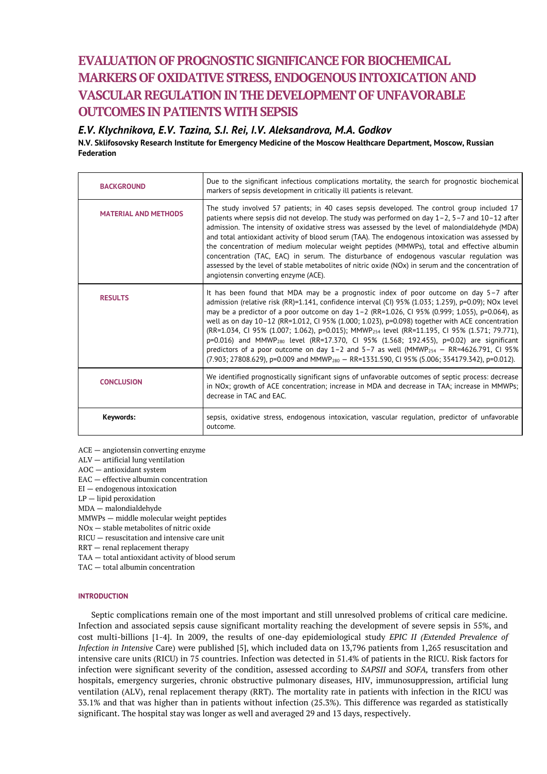# **EVALUATION OF PROGNOSTIC SIGNIFICANCE FOR BIOCHEMICAL MARKERS OF OXIDATIVESTRESS, ENDOGENOUS INTOXICATION AND VASCULAR REGULATION IN THE DEVELOPMENT OF UNFAVORABLE OUTCOMES IN PATIENTSWITH SEPSIS**

*E.V. Klychnikova, E.V. Tazina, S.I. Rei, I.V. Aleksandrova, M.A. Godkov*

**N.V. Sklifosovsky Research Institute for Emergency Medicine of the Moscow Healthcare Department, Moscow, Russian Federation**

| <b>BACKGROUND</b>           | Due to the significant infectious complications mortality, the search for prognostic biochemical<br>markers of sepsis development in critically ill patients is relevant.                                                                                                                                                                                                                                                                                                                                                                                                                                                                                                                                                                                                                                                                       |
|-----------------------------|-------------------------------------------------------------------------------------------------------------------------------------------------------------------------------------------------------------------------------------------------------------------------------------------------------------------------------------------------------------------------------------------------------------------------------------------------------------------------------------------------------------------------------------------------------------------------------------------------------------------------------------------------------------------------------------------------------------------------------------------------------------------------------------------------------------------------------------------------|
| <b>MATERIAL AND METHODS</b> | The study involved 57 patients; in 40 cases sepsis developed. The control group included 17<br>patients where sepsis did not develop. The study was performed on day $1-2$ , $5-7$ and $10-12$ after<br>admission. The intensity of oxidative stress was assessed by the level of malondialdehyde (MDA)<br>and total antioxidant activity of blood serum (TAA). The endogenous intoxication was assessed by<br>the concentration of medium molecular weight peptides (MMWPs), total and effective albumin<br>concentration (TAC, EAC) in serum. The disturbance of endogenous vascular regulation was<br>assessed by the level of stable metabolites of nitric oxide (NOx) in serum and the concentration of<br>angiotensin converting enzyme (ACE).                                                                                            |
| <b>RESULTS</b>              | It has been found that MDA may be a prognostic index of poor outcome on day $5-7$ after<br>admission (relative risk (RR)=1.141, confidence interval (CI) 95% (1.033; 1.259), p=0.09); NOx level<br>may be a predictor of a poor outcome on day $1-2$ (RR=1.026, CI 95% (0.999; 1.055), p=0.064), as<br>well as on day 10-12 (RR=1.012, CI 95% (1.000; 1.023), p=0.098) together with ACE concentration<br>(RR=1.034, CI 95% (1.007; 1.062), p=0.015); MMWP <sub>254</sub> level (RR=11.195, CI 95% (1.571; 79.771),<br>p=0.016) and MMWP <sub>280</sub> level (RR=17.370, CI 95% (1.568; 192.455), p=0.02) are significant<br>predictors of a poor outcome on day 1-2 and 5-7 as well (MMWP <sub>254</sub> - RR=4626.791, CI 95%<br>$(7.903; 27808.629)$ , p=0.009 and MMWP <sub>280</sub> - RR=1331.590, CI 95% (5.006; 354179.342), p=0.012). |
| <b>CONCLUSION</b>           | We identified prognostically significant signs of unfavorable outcomes of septic process: decrease<br>in NOx; growth of ACE concentration; increase in MDA and decrease in TAA; increase in MMWPs;<br>decrease in TAC and EAC.                                                                                                                                                                                                                                                                                                                                                                                                                                                                                                                                                                                                                  |
| Keywords:                   | sepsis, oxidative stress, endogenous intoxication, vascular regulation, predictor of unfavorable<br>outcome.                                                                                                                                                                                                                                                                                                                                                                                                                                                                                                                                                                                                                                                                                                                                    |

ACE — angiotensin converting enzyme

ALV — artificial lung ventilation

AOC — antioxidant system

EAC — effective albumin concentration

EI — endogenous intoxication

LP — lipid peroxidation

MDA — malondialdehyde

MMWPs — middle molecular weight peptides

NOx — stable metabolites of nitric oxide

RICU — resuscitation and intensive care unit

RRT — renal replacement therapy

TAA — total antioxidant activity of blood serum

TAC — total albumin concentration

## **INTRODUCTION**

Septic complications remain one of the most important and still unresolved problems of critical care medicine. Infection and associated sepsis cause significant mortality reaching the development of severe sepsis in 55%, and cost multi-billions [1-4]. In 2009, the results of one-day epidemiological study *EPIC II (Extended Prevalence of Infection in Intensive* Care) were published [5], which included data on 13,796 patients from 1,265 resuscitation and intensive care units (RICU) in 75 countries. Infection was detected in 51.4% of patients in the RICU. Risk factors for infection were significant severity of the condition, assessed according to *SAPSII* and *SOFA,* transfers from other hospitals, emergency surgeries, chronic obstructive pulmonary diseases, HIV, immunosuppression, artificial lung ventilation (ALV), renal replacement therapy (RRT). The mortality rate in patients with infection in the RICU was 33.1% and that was higher than in patients without infection (25.3%). This difference was regarded as statistically significant. The hospital stay was longer as well and averaged 29 and 13 days, respectively.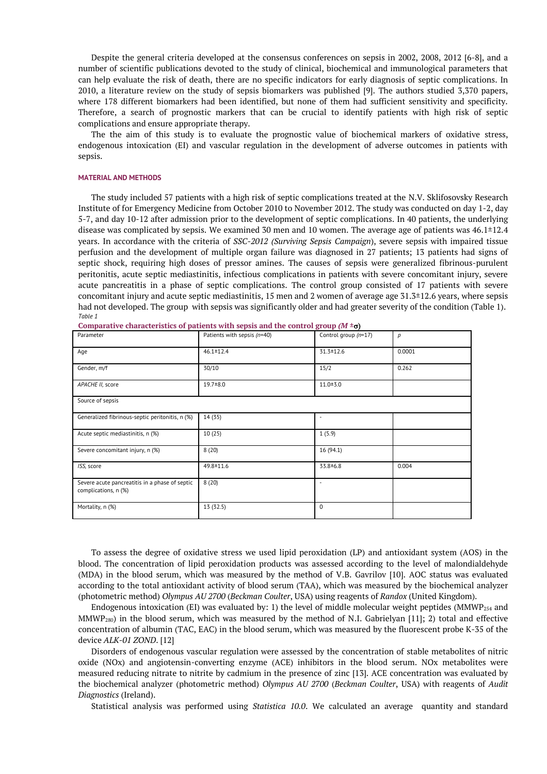Despite the general criteria developed at the consensus conferences on sepsis in 2002, 2008, 2012 [6-8], and a number of scientific publications devoted to the study of clinical, biochemical and immunological parameters that can help evaluate the risk of death, there are no specific indicators for early diagnosis of septic complications. In 2010, a literature review on the study of sepsis biomarkers was published [9]. The authors studied 3,370 papers, where 178 different biomarkers had been identified, but none of them had sufficient sensitivity and specificity. Therefore, a search of prognostic markers that can be crucial to identify patients with high risk of septic complications and ensure appropriate therapy.

The the aim of this study is to evaluate the prognostic value of biochemical markers of oxidative stress, endogenous intoxication (EI) and vascular regulation in the development of adverse outcomes in patients with sepsis.

## **MATERIAL AND METHODS**

The study included 57 patients with a high risk of septic complications treated at the N.V. Sklifosovsky Research Institute of for Emergency Medicine from October 2010 to November 2012. The study was conducted on day 1-2, day 5-7, and day 10-12 after admission prior to the development of septic complications. In 40 patients, the underlying disease was complicated by sepsis. We examined 30 men and 10 women. The average age of patients was 46.1±12.4 years. In accordance with the criteria of *SSC-2012 (Surviving Sepsis Campaign*), severe sepsis with impaired tissue perfusion and the development of multiple organ failure was diagnosed in 27 patients; 13 patients had signs of septic shock, requiring high doses of pressor amines. The causes of sepsis were generalized fibrinous-purulent peritonitis, acute septic mediastinitis, infectious complications in patients with severe concomitant injury, severe acute pancreatitis in a phase of septic complications. The control group consisted of 17 patients with severe concomitant injury and acute septic mediastinitis, 15 men and 2 women of average age 31.3±12.6 years, where sepsis had not developed. The group with sepsis was significantly older and had greater severity of the condition (Table 1). *Table 1*

| Parameter                                                              | Patients with sepsis (n=40) | Control group (n=17) | p      |  |  |
|------------------------------------------------------------------------|-----------------------------|----------------------|--------|--|--|
| Age                                                                    | $46.1 \pm 12.4$             | 31.3 ± 12.6          | 0.0001 |  |  |
| Gender, m/f                                                            | 30/10                       | 15/2                 | 0.262  |  |  |
| APACHE II, score                                                       | $19.7 + 8.0$                | $11.0 + 3.0$         |        |  |  |
| Source of sepsis                                                       |                             |                      |        |  |  |
| Generalized fibrinous-septic peritonitis, n (%)                        | 14 (35)                     |                      |        |  |  |
| Acute septic mediastinitis, n (%)                                      | 10(25)                      | 1(5.9)               |        |  |  |
| Severe concomitant injury, n (%)                                       | 8(20)                       | 16 (94.1)            |        |  |  |
| ISS, score                                                             | 49.8 ± 11.6                 | $33.8 \pm 6.8$       | 0.004  |  |  |
| Severe acute pancreatitis in a phase of septic<br>complications, n (%) | 8(20)                       |                      |        |  |  |
| Mortality, n (%)                                                       | 13 (32.5)                   | $\Omega$             |        |  |  |

**Comparative characteristics of patients with sepsis and the control group**  $(M \pm \sigma)$ 

To assess the degree of oxidative stress we used lipid peroxidation (LP) and antioxidant system (AOS) in the blood. The concentration of lipid peroxidation products was assessed according to the level of malondialdehyde (MDA) in the blood serum, which was measured by the method of V.B. Gavrilov [10]. AOC status was evaluated according to the total antioxidant activity of blood serum (TAA), which was measured by the biochemical analyzer (photometric method) *Olympus AU 2700* (*Beckman Coulter*, USA) using reagents of *Randox* (United Kingdom).

Endogenous intoxication (EI) was evaluated by: 1) the level of middle molecular weight peptides (MMWP<sub>254</sub> and MMWP280) in the blood serum, which was measured by the method of N.I. Gabrielyan [11]; 2) total and effective concentration of albumin (TAC, EAC) in the blood serum, which was measured by the fluorescent probe K-35 of the device *ALK-01 ZOND*. [12]

Disorders of endogenous vascular regulation were assessed by the concentration of stable metabolites of nitric oxide (NOx) and angiotensin-converting enzyme (ACE) inhibitors in the blood serum. NOx metabolites were measured reducing nitrate to nitrite by cadmium in the presence of zinc [13]. ACE concentration was evaluated by the biochemical analyzer (photometric method) *Olympus AU 2700* (*Beckman Coulter*, USA) with reagents of *Audit Diagnostics* (Ireland).

Statistical analysis was performed using *Statistica 10.0*. We calculated an average quantity and standard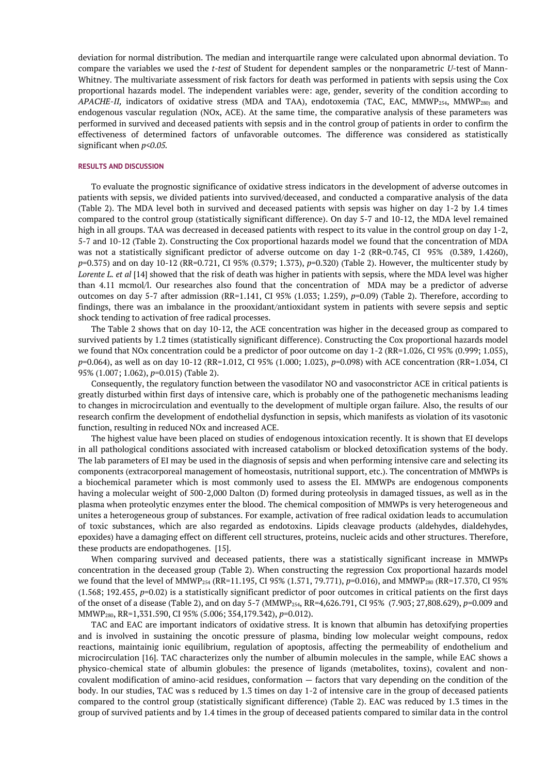deviation for normal distribution. The median and interquartile range were calculated upon abnormal deviation. To compare the variables we used the *t-test* of Student for dependent samples or the nonparametric *U*-test of Mann-Whitney. The multivariate assessment of risk factors for death was performed in patients with sepsis using the Cox proportional hazards model. The independent variables were: age, gender, severity of the condition according to *APACHE-II,* indicators of oxidative stress (MDA and TAA), endotoxemia (TAC, EAC, MMWP<sub>254</sub>, MMWP<sub>280)</sub> and endogenous vascular regulation (NOx, ACE). At the same time, the comparative analysis of these parameters was performed in survived and deceased patients with sepsis and in the control group of patients in order to confirm the effectiveness of determined factors of unfavorable outcomes. The difference was considered as statistically significant when *p<0.05.*

## **RESULTS AND DISCUSSION**

To evaluate the prognostic significance of oxidative stress indicators in the development of adverse outcomes in patients with sepsis, we divided patients into survived/deceased, and conducted a comparative analysis of the data (Table 2). The MDA level both in survived and deceased patients with sepsis was higher on day 1-2 by 1.4 times compared to the control group (statistically significant difference). On day 5-7 and 10-12, the MDA level remained high in all groups. TAA was decreased in deceased patients with respect to its value in the control group on day 1-2, 5-7 and 10-12 (Table 2). Constructing the Cox proportional hazards model we found that the concentration of MDA was not a statistically significant predictor of adverse outcome on day 1-2 (RR=0.745, CI 95% (0.389, 1.4260), *p*=0.375) and on day 10-12 (RR=0.721, CI 95% (0.379; 1.373), *p*=0.320) (Table 2). However, the multicenter study by *Lorente L. et al* [14] showed that the risk of death was higher in patients with sepsis, where the MDA level was higher than 4.11 mcmol/l. Our researches also found that the concentration of MDA may be a predictor of adverse outcomes on day 5-7 after admission (RR=1.141, CI 95% (1.033; 1.259), *p*=0.09) (Table 2). Therefore, according to findings, there was an imbalance in the prooxidant/antioxidant system in patients with severe sepsis and septic shock tending to activation of free radical processes.

The Table 2 shows that on day 10-12, the ACE concentration was higher in the deceased group as compared to survived patients by 1.2 times (statistically significant difference). Constructing the Cox proportional hazards model we found that NOx concentration could be a predictor of poor outcome on day 1-2 (RR=1.026, CI 95% (0.999; 1.055), *p*=0.064), as well as on day 10-12 (RR=1.012, CI 95% (1.000; 1.023), *p*=0.098) with ACE concentration (RR=1.034, CI 95% (1.007; 1.062), *p*=0.015) (Table 2).

Consequently, the regulatory function between the vasodilator NO and vasoconstrictor ACE in critical patients is greatly disturbed within first days of intensive care, which is probably one of the pathogenetic mechanisms leading to changes in microcirculation and eventually to the development of multiple organ failure. Also, the results of our research confirm the development of endothelial dysfunction in sepsis, which manifests as violation of its vasotonic function, resulting in reduced NOx and increased ACE.

The highest value have been placed on studies of endogenous intoxication recently. It is shown that EI develops in all pathological conditions associated with increased catabolism or blocked detoxification systems of the body. The lab parameters of EI may be used in the diagnosis of sepsis and when performing intensive care and selecting its components (extracorporeal management of homeostasis, nutritional support, etc.). The concentration of MMWPs is a biochemical parameter which is most commonly used to assess the EI. MMWPs are endogenous components having a molecular weight of 500-2,000 Dalton (D) formed during proteolysis in damaged tissues, as well as in the plasma when proteolytic enzymes enter the blood. The chemical composition of MMWPs is very heterogeneous and unites a heterogeneous group of substances. For example, activation of free radical oxidation leads to accumulation of toxic substances, which are also regarded as endotoxins. Lipids cleavage products (aldehydes, dialdehydes, epoxides) have a damaging effect on different cell structures, proteins, nucleic acids and other structures. Therefore, these products are endopathogenes. [15].

When comparing survived and deceased patients, there was a statistically significant increase in MMWPs concentration in the deceased group (Table 2). When constructing the regression Cox proportional hazards model we found that the level of MMWP<sup>254</sup> (RR=11.195, CI 95% (1.571, 79.771), *p*=0.016), and MMWP<sup>280</sup> (RR=17.370, CI 95% (1.568; 192.455, *p*=0.02) is a statistically significant predictor of poor outcomes in critical patients on the first days of the onset of a disease (Table 2), and on day 5-7 (MMWP254, RR=4,626.791, CI 95% (7.903; 27,808.629), *p*=0.009 and MMWP280, RR=1,331.590, CI 95% (5.006; 354,179.342), *p*=0.012).

TAC and EAC are important indicators of oxidative stress. It is known that albumin has detoxifying properties and is involved in sustaining the oncotic pressure of plasma, binding low molecular weight compouns, redox reactions, maintainig ionic equilibrium, regulation of apoptosis, affecting the permeability of endothelium and microcirculation [16]. TAC characterizes only the number of albumin molecules in the sample, while EAC shows a physico-chemical state of albumin globules: the presence of ligands (metabolites, toxins), covalent and noncovalent modification of amino-acid residues, conformation — factors that vary depending on the condition of the body. In our studies, TAC was s reduced by 1.3 times on day 1-2 of intensive care in the group of deceased patients compared to the control group (statistically significant difference) (Table 2). EAC was reduced by 1.3 times in the group of survived patients and by 1.4 times in the group of deceased patients compared to similar data in the control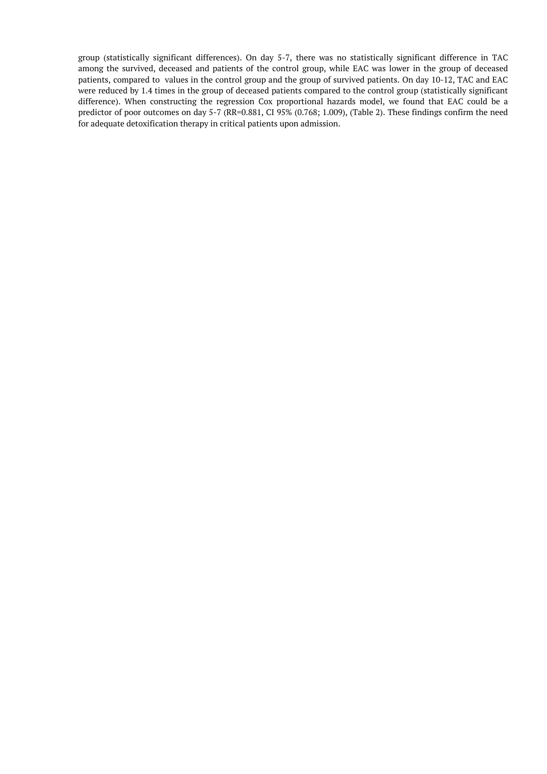group (statistically significant differences). On day 5-7, there was no statistically significant difference in TAC among the survived, deceased and patients of the control group, while EAC was lower in the group of deceased patients, compared to values in the control group and the group of survived patients. On day 10-12, TAC and EAC were reduced by 1.4 times in the group of deceased patients compared to the control group (statistically significant difference). When constructing the regression Cox proportional hazards model, we found that EAC could be a predictor of poor outcomes on day 5-7 (RR=0.881, CI 95% (0.768; 1.009), (Table 2). These findings confirm the need for adequate detoxification therapy in critical patients upon admission.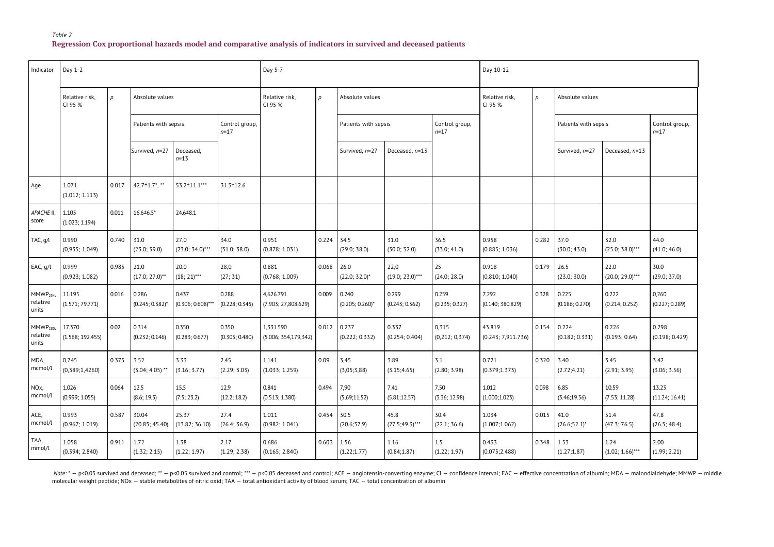**Regression Cox proportional hazards model and comparative analysis of indicators in survived and deceased patients**

| Indicator                                  | Day 1-2                    |       |                             |                               | Day 5-7                    |                                   |                  |                             | Day 10-12                  |                            |                                            |       |                          |                            |                            |  |
|--------------------------------------------|----------------------------|-------|-----------------------------|-------------------------------|----------------------------|-----------------------------------|------------------|-----------------------------|----------------------------|----------------------------|--------------------------------------------|-------|--------------------------|----------------------------|----------------------------|--|
|                                            | Relative risk,<br>CI 95 %  | p     | Absolute values             |                               |                            | Relative risk,<br>CI 95 %         | $\boldsymbol{p}$ | Absolute values             |                            |                            | Relative risk,<br>$\mathcal{D}$<br>CI 95 % |       | Absolute values          |                            |                            |  |
|                                            |                            |       | Patients with sepsis        |                               | Control group,<br>$n = 17$ |                                   |                  | Patients with sepsis        |                            | Control group,<br>$n = 17$ |                                            |       | Patients with sepsis     |                            | Control group,<br>$n = 17$ |  |
|                                            |                            |       | Survived, n=27              | Deceased,<br>$n = 13$         |                            |                                   |                  | Survived, n=27              | Deceased, $n=13$           |                            |                                            |       | Survived, n=27           | Deceased, n=13             |                            |  |
| Age                                        | 1.071<br>(1.012; 1.113)    | 0.017 | 42.7 $\pm$ 1.7 $^*$ , **    | 53.2±11.1***                  | $31.3 \pm 12.6$            |                                   |                  |                             |                            |                            |                                            |       |                          |                            |                            |  |
| <b>APACHE II.</b><br>score                 | 1.105<br>(1.023; 1.194)    | 0.011 | $16.6 \pm 6.5$ *            | $24.6 \pm 8.1$                |                            |                                   |                  |                             |                            |                            |                                            |       |                          |                            |                            |  |
| TAC, g/l                                   | 0.990<br>(0,935; 1,049)    | 0.740 | 31.0<br>(23.0; 39.0)        | 27.0<br>$(23.0; 34.0)$ ***    | 34.0<br>(31.0; 38.0)       | 0.951<br>(0.878; 1.031)           | 0.224            | 34.5<br>(29.0; 38.0)        | 31.0<br>(30.0; 32.0)       | 36.5<br>(33.0; 41.0)       | 0.958<br>(0.885; 1.036)                    | 0.282 | 37.0<br>(30.0; 43.0)     | 32.0<br>$(25.0; 38.0)$ *** | 44.0<br>(41.0; 46.0)       |  |
| EAC, g/l                                   | 0.999<br>(0.923; 1.082)    | 0.985 | 21.0<br>$(17.0; 27.0)^{**}$ | 20.0<br>$(18; 21)$ ***        | 28,0<br>(27; 31)           | 0.881<br>(0.768; 1.009)           | 0.068            | 26.0<br>$(22.0; 32.0)^*$    | 22,0<br>$(19.0; 23.0)$ *** | 25<br>(24.0; 28.0)         | 0.918<br>(0.810; 1.040)                    | 0.179 | 26.5<br>(23.0; 30.0)     | 22.0<br>$(20.0; 29.0)$ *** | 30.0<br>(29.0; 37.0)       |  |
| MMWP <sub>254</sub><br>relative<br>units   | 11.195<br>(1.571; 79.771)  | 0.016 | 0.286<br>$(0.245; 0.382)^*$ | 0.437<br>$(0.306; 0.608)$ *** | 0.288<br>(0.228; 0.345)    | 4,626.791<br>(7.903; 27,808.629)  | 0.009            | 0.240<br>$(0.205; 0.260)^*$ | 0.299<br>(0.243; 0.362)    | 0.259<br>(0.235; 0.327)    | 7.292<br>(0.140; 380.829)                  | 0.328 | 0.225<br>(0.186; 0.270)  | 0.222<br>(0.214; 0.252)    | 0,260<br>(0.227; 0.289)    |  |
| MMWP <sub>280</sub> ,<br>relative<br>units | 17.370<br>(1.568; 192.455) | 0.02  | 0.314<br>(0.232; 0.146)     | 0.350<br>(0.283; 0.677)       | 0.350<br>(0.305; 0.480)    | 1,331.590<br>(5.006; 354,179,342) | 0.012            | 0.237<br>(0.222; 0.332)     | 0.337<br>(0.254; 0.404)    | 0,315<br>(0,212; 0,374)    | 43.819<br>(0.243; 7,911.736)               | 0.154 | 0.224<br>(0.182; 0.331)  | 0.226<br>(0.193; 0.64)     | 0.298<br>(0.198; 0.429)    |  |
| MDA,<br>mcmol/l                            | 0,745<br>(0,389;1,4260)    | 0.375 | 3.52<br>$(3.04; 4.05)$ **   | 3.33<br>(3.16; 3.77)          | 2.45<br>(2.29; 3.03)       | 1.141<br>(1.033; 1.259)           | 0.09             | 3,45<br>(3,05;3,88)         | 3.89<br>(3.15; 4.65)       | 3.1<br>(2.80; 3.98)        | 0.721<br>(0.379;1.373)                     | 0.320 | 3.40<br>(2.72; 4.21)     | 3.45<br>(2.91; 3.95)       | 3.42<br>(3.06; 3.56)       |  |
| NO <sub>x</sub> ,<br>mcmol/l               | 1.026<br>(0.999; 1.055)    | 0.064 | 12.5<br>(8.6; 19.5)         | 15.5<br>(7.5; 23.2)           | 12.9<br>(12.2; 18.2)       | 0.841<br>(0.513; 1.380)           | 0.494            | 7,90<br>(5,69;11,52)        | 7.41<br>(5.81; 12.57)      | 7.50<br>(3.36; 12.98)      | 1.012<br>(1.000;1.023)                     | 0.098 | 6.85<br>(3.46; 19.56)    | 10.59<br>(7.53; 11.28)     | 13.23<br>(11.24; 16.41)    |  |
| ACE,<br>mcmol/l                            | 0.993<br>(0.967; 1.019)    | 0.587 | 30.04<br>(20.85; 45.40)     | 25.37<br>(13.82; 36.10)       | 27.4<br>(26.4; 36.9)       | 1.011<br>(0.982; 1.041)           | 0.454            | 30.5<br>(20.6; 37.9)        | 45.8<br>$(27.5; 49.3)$ *** | 30.4<br>(22.1; 36.6)       | 1.034<br>(1.007;1.062)                     | 0.015 | 41.0<br>$(26.6; 52.1)^*$ | 51.4<br>(47.3; 76.5)       | 47.8<br>(26.5; 48.4)       |  |
| TAA,<br>mmol/l                             | 1.058<br>(0.394; 2.840)    | 0.911 | 1.72<br>(1.32; 2.15)        | 1.38<br>(1.22; 1.97)          | 2.17<br>(1.29; 2.38)       | 0.686<br>(0.165; 2.840)           | 0.603            | 1.56<br>(1.22; 1.77)        | 1.16<br>(0.84;1.87)        | 1.5<br>(1.22; 1.97)        | 0.433<br>(0.075; 2.488)                    | 0.348 | 1.53<br>(1.27;1.87)      | 1.24<br>$(1.02; 1.66)$ *** | 2.00<br>(1.99; 2.21)       |  |

Note: \* - p<0.05 survived and deceased; \*\* - p<0.05 survived and control; \*\*\* - p<0.05 deceased and control; \*\*\* - p<0.05 survived and control; \*\*\* - p<0.05 deceased and control; ACE - angiotensin-converting enzyme; CI - c molecular weight peptide; NOx — stable metabolites of nitric oxid; TAA — total antioxidant activity of blood serum; TAC — total concentration of albumin

*Table 2*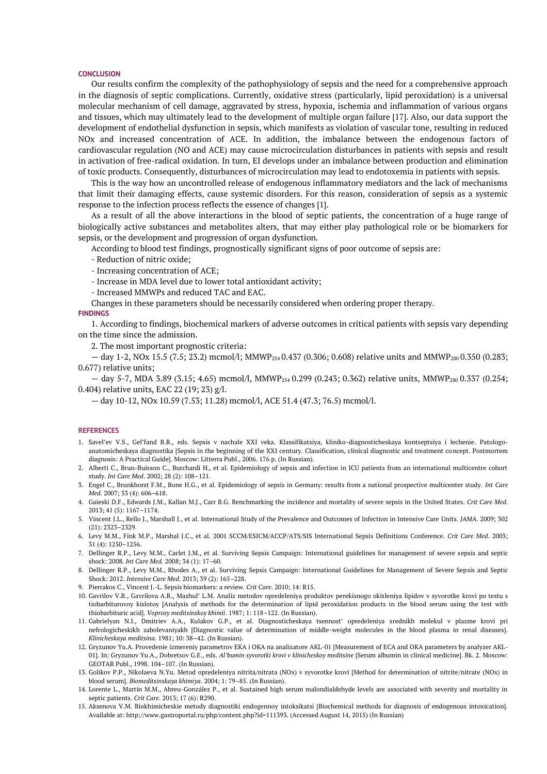#### **CONCLUSION**

Our results confirm the complexity of the pathophysiology of sepsis and the need for a comprehensive approach in the diagnosis of septic complications. Currently, oxidative stress (particularly, lipid peroxidation) is a universal molecular mechanism of cell damage, aggravated by stress, hypoxia, ischemia and inflammation of various organs and tissues, which may ultimately lead to the development of multiple organ failure [17]. Also, our data support the development of endothelial dysfunction in sepsis, which manifests as violation of vascular tone, resulting in reduced NOx and increased concentration of ACE. In addition, the imbalance between the endogenous factors of cardiovascular regulation (NO and ACE) may cause microcirculation disturbances in patients with sepsis and result in activation of free-radical oxidation. In turn, EI develops under an imbalance between production and elimination of toxic products. Consequently, disturbances of microcirculation may lead to endotoxemia in patients with sepsis.

This is the way how an uncontrolled release of endogenous inflammatory mediators and the lack of mechanisms that limit their damaging effects, cause systemic disorders. For this reason, consideration of sepsis as a systemic response to the infection process reflects the essence of changes [1].

As a result of all the above interactions in the blood of septic patients, the concentration of a huge range of biologically active substances and metabolites alters, that may either play pathological role or be biomarkers for sepsis, or the development and progression of organ dysfunction.

According to blood test findings, prognostically significant signs of poor outcome of sepsis are:

- Reduction of nitric oxide;
- Increasing concentration of ACE;
- Increase in MDA level due to lower total antioxidant activity;
- Increased MMWPs and reduced TAC and EAC.
- Changes in these parameters should be necessarily considered when ordering proper therapy.

# **FINDINGS**

1. According to findings, biochemical markers of adverse outcomes in critical patients with sepsis vary depending on the time since the admission.

2. The most important prognostic criteria:

— day 1-2, NOx 15.5 (7.5; 23.2) mcmol/l; MMWP254 0.437 (0.306; 0.608) relative units and MMWP280 0.350 (0.283; 0.677) relative units;

 $-$  day 5-7, MDA 3.89 (3.15; 4.65) mcmol/l, MMWP<sub>254</sub> 0.299 (0.243; 0.362) relative units, MMWP<sub>280</sub> 0.337 (0.254; 0.404) relative units, EAC 22 (19; 23) g/l.

— day 10-12, NOx 10.59 (7.53; 11.28) mcmol/l, ACE 51.4 (47.3; 76.5) mcmol/l.

#### **REFERENCES**

- 1. Savel'ev V.S., Gel'fand B.R., eds. Sepsis v nachale XXI veka. Klassifikatsiya, kliniko-diagnosticheskaya kontseptsiya i lechenie. Patologoanatomicheskaya diagnostika [Sepsis in the beginning of the XXI century. Classification, clinical diagnostic and treatment concept. Postmortem diagnosis: A Practical Guide]. Moscow: Litterra Publ., 2006. 176 p. (In Russian).
- 2. Alberti C., Brun-Buisson C., Burchardi H., et al. Epidemiology of sepsis and infection in ICU patients from an international multicentre cohort study. *Int Care Med*. 2002; 28 (2): 108–121.
- 3. Engel C., Brunkhorst F.M., Bone H.G., et al. Epidemiology of sepsis in Germany: results from a national prospective multicenter study. *Int Care Med.* 2007; 33 (4): 606–618.
- 4. Gaieski D.F., Edwards J.M., Kallan M.J., Carr B.G. Benchmarking the incidence and mortality of severe sepsis in the United States. *Crit Care Med.* 2013; 41 (5): 1167–1174.
- 5. Vincent J.L., Rello J., Marshall J., et al. International Study of the Prevalence and Outcomes of Infection in Intensive Care Units. *JAMA*. 2009; 302 (21): 2323–2329.
- 6. Levy M.M., Fink M.P., Marshal J.C., et al. 2001 SCCM/ESICM/ACCP/ATS/SIS International Sepsis Definitions Conference. *Crit Care Med*. 2003; 31 (4): 1250–1256.
- 7. Dellinger R.P., Levy M.M., Carlet J.M., et al. Surviving Sepsis Campaign: International guidelines for management of severe sepsis and septic shock: 2008. *Int Care Med.* 2008; 34 (1): 17–60.
- 8. Dellinger R.P., Levy M.M., Rhodes A., et al. Surviving Sepsis Campaign: International Guidelines for Management of Severe Sepsis and Septic Shock: 2012. *Intensive Care Med*. 2013; 39 (2): 165–228.
- 9. Pierrakos C., Vincent J.-L. Sepsis biomarkers: a review. *Crit Care*. 2010; 14: R15.
- 10. Gavrilov V.B., Gavrilova A.R., Mazhul' L.M. Analiz metodov opredeleniya produktov perekisnogo okisleniya lipidov v syvorotke krovi po testu s tiobarbiturovoy kislotoy [Analysis of methods for the determination of lipid peroxidation products in the blood serum using the test with thiobarbituric acid]. *Voprosy meditsinskoy khimii*. 1987; 1: 118–122. (In Russian).
- 11. Gabrielyan N.I., Dmitriev A.A., Kulakov G.P., et al. Diagnosticheskaya tsennost' opredeleniya srednikh molekul v plazme krovi pri nefrologicheskikh zabolevaniyakh [Diagnostic value of determination of middle-weight molecules in the blood plasma in renal diseases]. *Klinicheskaya meditsina.* 1981; 10: 38–42. (In Russian).
- 12. Gryzunov Yu.A. Provedenie izmereniy parametrov EKA i OKA na analizatore AKL-01 [Measurement of ECA and OKA parameters by analyzer AKL-01]. In: Gryzunov Yu.A., Dobretsov G.E., eds. *Al'bumin syvorotki krovi v klinicheskoy meditsine* [Serum albumin in clinical medicine]. Bk. 2. Moscow: GEOTAR Publ., 1998. 104–107. (In Russian).
- 13. Golikov P.P., Nikolaeva N.Yu. Metod opredeleniya nitrita/nitrata (NOx) v syvorotke krovi [Method for determination of nitrite/nitrate (NOx) in blood serum]. *Biomeditsinskaya khimiya.* 2004; 1: 79–85. (In Russian).
- 14. Lorente L., Martín M.M., Abreu-González P., et al. Sustained high serum malondialdehyde levels are associated with severity and mortality in septic patients. *Crit Care*. 2013; 17 (6): R290.
- 15. Aksenova V.M. Biokhimicheskie metody diagnostiki endogennoy intoksikatsi [Biochemical methods for diagnosis of endogenous intoxication]. Available at: http://www.gastroportal.ru/php/content.php?id=111393. (Accessed August 14, 2015) (In Russian)